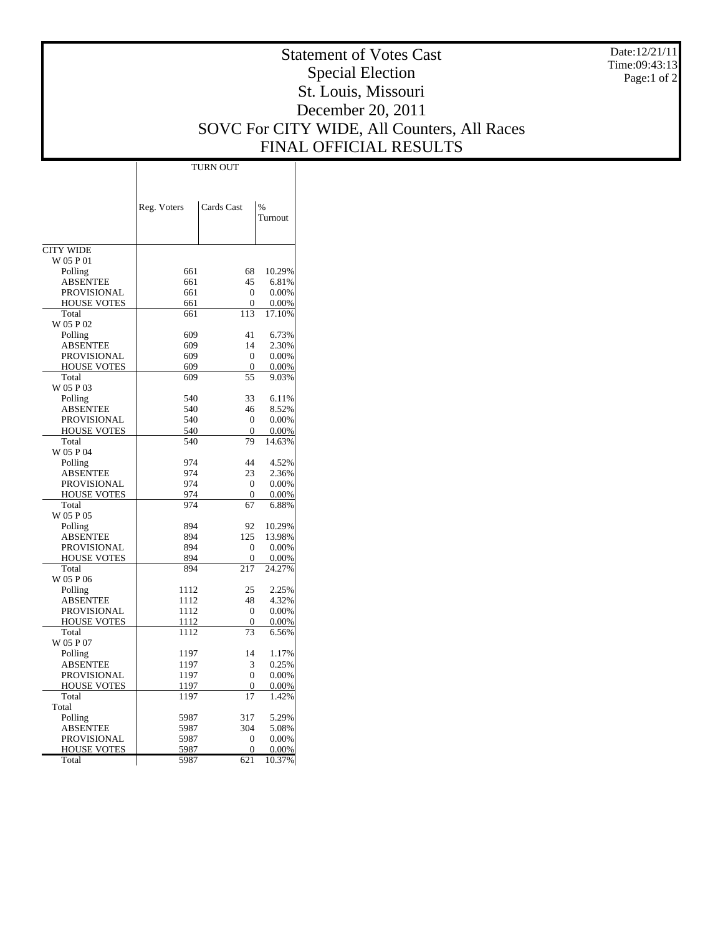Date:12/21/11 Time:09:43:13 Page:1 of 2

## Statement of Votes Cast Special Election St. Louis, Missouri December 20, 2011 SOVC For CITY WIDE, All Counters, All Races FINAL OFFICIAL RESULTS

 $\top$ 

|                    | <b>TURN OUT</b> |                  |                 |  |  |  |  |  |
|--------------------|-----------------|------------------|-----------------|--|--|--|--|--|
|                    |                 |                  |                 |  |  |  |  |  |
|                    | Reg. Voters     | Cards Cast       | $\%$<br>Turnout |  |  |  |  |  |
| <b>CITY WIDE</b>   |                 |                  |                 |  |  |  |  |  |
| W 05 P 01          |                 |                  |                 |  |  |  |  |  |
| Polling            | 661             | 68               | 10.29%          |  |  |  |  |  |
| ABSENTEE           | 661             | 45               | 6.81%           |  |  |  |  |  |
| <b>PROVISIONAL</b> | 661             | 0                | $0.00\%$        |  |  |  |  |  |
| <b>HOUSE VOTES</b> | 661             | $\overline{0}$   | $0.00\%$        |  |  |  |  |  |
| Total              | 661             | 113              | 17.10%          |  |  |  |  |  |
| W 05 P 02          |                 |                  |                 |  |  |  |  |  |
| Polling            | 609             | 41               | 6.73%           |  |  |  |  |  |
| ABSENTEE           | 609             | 14               | 2.30%           |  |  |  |  |  |
| PROVISIONAL        | 609             | 0                | $0.00\%$        |  |  |  |  |  |
| <b>HOUSE VOTES</b> | 609             | $\boldsymbol{0}$ | $0.00\%$        |  |  |  |  |  |
| Total              | 609             | 55               | 9.03%           |  |  |  |  |  |
| W 05 P 03          |                 |                  |                 |  |  |  |  |  |
| Polling            | 540             | 33               | 6.11%           |  |  |  |  |  |
| <b>ABSENTEE</b>    | 540             | 46               | 8.52%           |  |  |  |  |  |
| PROVISIONAL        | 540             | $\Omega$         | $0.00\%$        |  |  |  |  |  |
| <b>HOUSE VOTES</b> | 540             | $\theta$         | 0.00%           |  |  |  |  |  |
| Total              | 540             | 79               | 14.63%          |  |  |  |  |  |
| W 05 P 04          |                 |                  |                 |  |  |  |  |  |
| Polling            | 974             | 44               | 4.52%           |  |  |  |  |  |
| <b>ABSENTEE</b>    | 974             | 23               | 2.36%           |  |  |  |  |  |
| <b>PROVISIONAL</b> | 974             | $\overline{0}$   | $0.00\%$        |  |  |  |  |  |
| <b>HOUSE VOTES</b> | 974             | $\overline{0}$   | 0.00%           |  |  |  |  |  |
| Total              | 974             | 67               | 6.88%           |  |  |  |  |  |
| W 05 P 05          |                 |                  |                 |  |  |  |  |  |
| Polling            | 894             | 92               | 10.29%          |  |  |  |  |  |
| ABSENTEE           | 894             | 125              | 13.98%          |  |  |  |  |  |
| PROVISIONAL        | 894             | $\theta$         | 0.00%           |  |  |  |  |  |
| <b>HOUSE VOTES</b> | 894             | 0                | $0.00\%$        |  |  |  |  |  |
| Total              | 894             | 217              | 24.27%          |  |  |  |  |  |
| W 05 P 06          |                 |                  |                 |  |  |  |  |  |
| Polling            | 1112            | 25               | 2.25%           |  |  |  |  |  |
| <b>ABSENTEE</b>    | 1112            | 48               | 4.32%           |  |  |  |  |  |
| <b>PROVISIONAL</b> | 1112            | 0                | 0.00%           |  |  |  |  |  |
| <b>HOUSE VOTES</b> | 1112            | 0                | $0.00\%$        |  |  |  |  |  |
| Total              | 1112            | 73               | 6.56%           |  |  |  |  |  |
| W 05 P 07          |                 |                  |                 |  |  |  |  |  |
| Polling            | 1197            | 14               | 1.17%           |  |  |  |  |  |
| <b>ABSENTEE</b>    | 1197            | 3                | 0.25%           |  |  |  |  |  |
| PROVISIONAL        | 1197            | $\theta$         | $0.00\%$        |  |  |  |  |  |
| <b>HOUSE VOTES</b> | 1197            | 0                | 0.00%           |  |  |  |  |  |
| Total              | 1197            | 17               | 1.42%           |  |  |  |  |  |
| Total              |                 |                  |                 |  |  |  |  |  |
| Polling            | 5987            | 317              | 5.29%           |  |  |  |  |  |
| ABSENTEE           | 5987            | 304              | 5.08%           |  |  |  |  |  |
| PROVISIONAL        | 5987            | 0                | $0.00\%$        |  |  |  |  |  |
| HOUSE VOTES        | 5987            | 0                | $0.00\%$        |  |  |  |  |  |
| Total              | 5987            | 621              | 10.37%          |  |  |  |  |  |